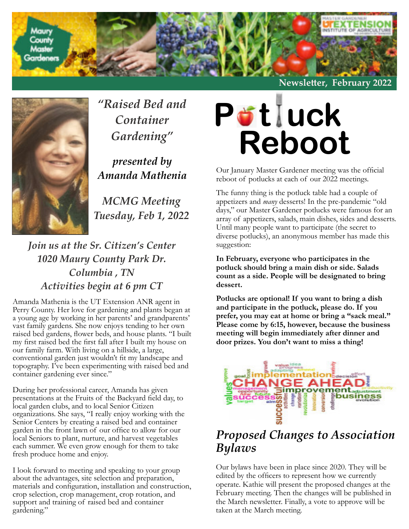

**Newsle�er, February 2022**



*"Raised Bed and Container Gardening"*

*presented by Amanda Mathenia*

*MCMG Meeting Tuesday, Feb 1, 2022*

### *Join us at the Sr. Citizen's Center 1020 Maury County Park Dr. Columbia , TN Activities begin at 6 pm CT*

Amanda Mathenia is the UT Extension ANR agent in Perry County. Her love for gardening and plants began at a young age by working in her parents' and grandparents' vast family gardens. She now enjoys tending to her own raised bed gardens, flower beds, and house plants. "I built my first raised bed the first fall after I built my house on our family farm. With living on a hillside, a large, conventional garden just wouldn't fit my landscape and topography. I've been experimenting with raised bed and container gardening ever since."

During her professional career, Amanda has given presentations at the Fruits of the Backyard field day, to local garden clubs, and to local Senior Citizen organizations. She says, "I really enjoy working with the Senior Centers by creating a raised bed and container garden in the front lawn of our office to allow for our local Seniors to plant, nurture, and harvest vegetables each summer. We even grow enough for them to take fresh produce home and enjoy.

I look forward to meeting and speaking to your group about the advantages, site selection and preparation, materials and configuration, installation and construction, crop selection, crop management, crop rotation, and support and training of raised bed and container gardening."



Our January Master Gardener meeting was the official reboot of potlucks at each of our 2022 meetings.

The funny thing is the potluck table had a couple of appetizers and *many* desserts! In the pre-pandemic "old days," our Master Gardener potlucks were famous for an array of appetizers, salads, main dishes, sides and desserts. Until many people want to participate (the secret to diverse potlucks), an anonymous member has made this suggestion:

**In February, everyone who participates in the potluck should bring a main dish or side. Salads count as a side. People will be designated to bring dessert.**

**Potlucks are optional! If you want to bring a dish and participate in the potluck, please do. If you prefer, you may eat at home or bring a "sack meal." Please come by 6:15, however, because the business meeting will begin immediately after dinner and door prizes. You don't want to miss a thing!**



### *Proposed Changes to Association Bylaws*

Our bylaws have been in place since 2020. They will be edited by the officers to represent how we currently operate. Kathie will present the proposed changes at the February meeting. Then the changes will be published in the March newsletter. Finally, a vote to approve will be taken at the March meeting.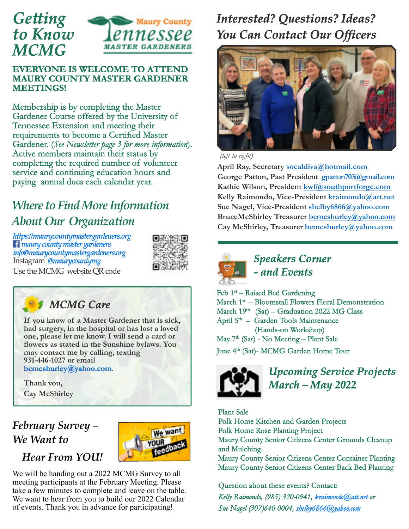

#### **EVERYONE IS WELCOME TO ATTEND MAURY COUNTY MASTER GARDENER MEETINGS!**

Membership is by completing the Master Gardener Course offered by the University of Tennessee Extension and meeting their requirements to become a Certified Master Gardener. (*See Newsletter page 3 for more information*). Active members maintain their status by completing the required number of volunteer service and continuing education hours and paying annual dues each calendar year.

## *[Where to FindMore Information](https://maurycountymastergardeners.org) [About Our Organization](https://maurycountymastergardeners.org)*

*[h�ps://maurycountymastergardeners.org](https://maurycountymastergardeners.org) maury [county master gardeners](https://www.facebook.com/search/top?q=maury%20county%20master%20gardeners) [info@maurycountymastergardeners.org](https://info@maurycountymastergardeners.org)* Instagram *@maurycountymg*



Use theMCMG website QR code



**If you know of a Master Gardener that is sick, had surgery, in the hospital or has lost a loved one, please let me know. I will send a card or flowers as stated in the Sunshine bylaws. You may contact me by calling, texting 931-446-1027 or email**

**bcmcshurley@yahoo.com**.

**Thank you, Cay McShirley**

## *February Survey – We Want to*



### *Hear From YOU!*

We will be handing out a 2022 MCMG Survey to all meeting participants at the February Meeting. Please take a few minutes to complete and leave on the table. We want to hear from you to build our 2022 Calendar of events. Thank you in advance for participating!

## *Interested? Questions? Ideas? You Can Contact Our Officers*



*(left to right)*

**April Ray, Secretary [socaldiva@hotmail.com](mailto:socaldiva@hotmail.com) George Patton, Past President [gpatton703@gmail.com](mailto:%20gpatton703@gmail.com) Kathie Wilson, President [kwf@southportforge.com](mailto:kwf@southportforge.com) Kelly Raimondo, Vice-President [kraimondo@att.net](mailto:kraimondo@att.net) Sue Nagel, Vice-President [shelby6866@yahoo.com](mailto:shelby6866@yahoo.com) BruceMcShirley Treasurer [bcmcshurley@yahoo.com](mailto:bcmcshurley@yahoo.com) Cay McShirley, Treasurer [bcmcshurley@yahoo.com](mailto:bcmcshurley@yahoo.com)**



*Speakers Corner - and Events*

 $Feb 1<sup>st</sup> - Rasied Bed Gardening$ March 1<sup>st</sup> – Bloomstall Flowers Floral Demonstration March  $19<sup>th</sup>$  (Sat) – Graduation 2022 MG Class April 5<sup>th</sup> – Garden Tools Maintenance (Hands-on Workshop) May 7<sup>th</sup> (Sat) - No Meeting – Plant Sale June 4<sup>th</sup> (Sat)- MCMG Garden Home Tour



*Upcoming Service Projects March – May 2022*

Plant Sale Polk Home Kitchen and Garden Projects Polk Home Rose Planting Project Maury County Senior Citizens Center Grounds Cleanup and Mulching Maury County Senior Citizens Center Container Planting Maury County Senior Citizens Center Back Bed Planting

Question about these events? Contact:

*Kelly Raimondo, (985) 320-0941, [kraimondo@att.net](mailto:kraimondo@att.net) or Sue Nagel (307)640-0004, [shelby6866@yahoo.com](mailto:shelby6866@yahoo.com)*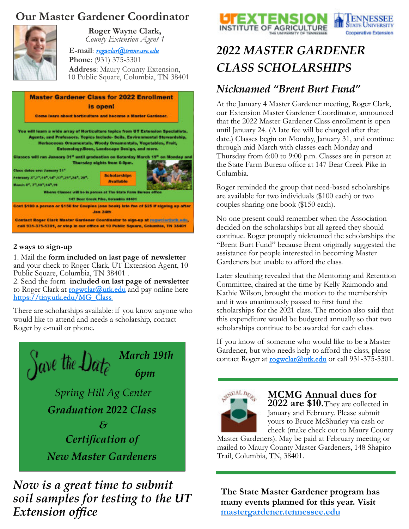### **Our Master Gardener Coordinator**



**Roger Wayne Clark,** *County Extension Agent 1*

**E-mail**: *[rogwclar@tennessee.edu](mailto:rogwclar@tennessee.edu%20)* **Phone**: (931) 375-5301 **Address**: Maury County Extension, 10 Public Square, Columbia, TN 38401

|                                                                                                        | <b>Master Gardener Class for 2022 Enrollment</b><br>is open!                                                                                                                                                                                                                  |
|--------------------------------------------------------------------------------------------------------|-------------------------------------------------------------------------------------------------------------------------------------------------------------------------------------------------------------------------------------------------------------------------------|
|                                                                                                        | Come learn about horticulture and become a Master Gardener.                                                                                                                                                                                                                   |
|                                                                                                        | You will learn a wide array of Horticulture topics from UT Extension Specialists,<br>Agents, and Professors. Topics Include-Soils, Environmental Stewardship,<br>Herbaceous Omamentals, Woody Ornamentals, Vegetables, Fruit,<br>Entomology/Bees, Landscape Design, and more. |
| Class dates are: January 31"<br>February 3",7",16",14",17",21",24", 24",<br>March 3", 3", 10", 14", 19 | Classes will run January 31" until graduation on Saturday March 19" on Monday and<br>Thursday sights from 6-9pm.<br><b>Scholarships</b><br><b>Available</b><br>Where: Classes will be in person at The State Farm Bureau office<br>147 Bear Crook Pilos, Columbia 38401       |
|                                                                                                        | Cost \$100 a person or \$150 for Coupies (cas book) late fee of \$25 if signing up after<br><b>Jan 24th</b>                                                                                                                                                                   |
|                                                                                                        | Contact Roger Clark Master Gardener Coordinator to sign-up at connectorate sets.<br>call 931-375-5301, or stop in our office at 10 Public Square, Columbia, TN 38401                                                                                                          |

#### **2 ways to sign-up**

1. Mail the f**orm included on last page of newsletter** and your check to Roger Clark, UT Extension Agent, 10 Public Square, Columbia, TN 38401 .

2. Send the form **included on last page of newsletter** to Roger Clark at **[rogwclar@utk.edu](mailto:rogwclar@utk.edu)** and pay online here [https://tiny.utk.edu/MG\\_Class.](https://tiny.utk.edu/MG_Class)

There are scholarships available: if you know anyone who would like to attend and needs a scholarship, contact Roger by e-mail or phone.



### *Now is a great time to submit soil samples for testing to the UT Extension office*





## *2022 MASTER GARDENER CLASS SCHOLARSHIPS*

### *Nicknamed "Brent Burt Fund"*

At the January 4 Master Gardener meeting, Roger Clark, our Extension Master Gardener Coordinator, announced that the 2022 Master Gardener Class enrollment is open until January 24. (A late fee will be charged after that date.) Classes begin on Monday, January 31, and continue through mid-March with classes each Monday and Thursday from 6:00 to 9:00 p.m. Classes are in person at the State Farm Bureau office at 147 Bear Creek Pike in Columbia.

Roger reminded the group that need-based scholarships are available for two individuals (\$100 each) or two couples sharing one book (\$150 each).

No one present could remember when the Association decided on the scholarships but all agreed they should continue. Roger promptly nicknamed the scholarships the "Brent Burt Fund" because Brent originally suggested the assistance for people interested in becoming Master Gardeners but unable to afford the class.

Later sleuthing revealed that the Mentoring and Retention Committee, chaired at the time by Kelly Raimondo and Kathie Wilson, brought the motion to the membership and it was unanimously passed to first fund the scholarships for the 2021 class. The motion also said that this expenditure would be budgeted annually so that two scholarships continue to be awarded for each class.

If you know of someone who would like to be a Master Gardener, but who needs help to afford the class, please contact Roger at [rogwclar@utk.edu](mailto:rogwclar@utk.edu) or call 931-375-5301.



**MCMG Annual dues for**

**2022 are \$10.**They are collected in January and February. Please submit yours to Bruce McShurley via cash or check (make check out to Maury County

Master Gardeners). May be paid at February meeting or mailed to Maury County Master Gardeners, 148 Shapiro Trail, Columbia, TN, 38401.

**The State Master Gardener program has many events planned for this year. Visit [mastergardener.tennessee.edu](https://mastergardener.tennessee.edu)**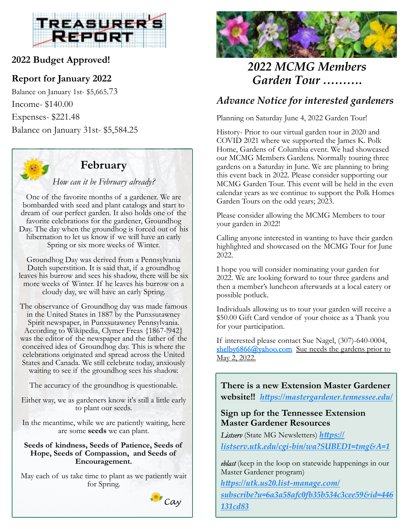

#### **2022 Budget Approved!**

#### **Report for January 2022**

Balance on January 1st- \$5,665.73 Income- \$140.00 Expenses- \$221.48 Balance on January 31st- \$5,584.25



#### **February**

*How can it be February already?*

One of the favorite months of a gardener. We are bombarded with seed and plant catalogs and start to dream of our perfect garden. It also holds one of the favorite celebrations for the gardener, Groundhog Day. The day when the groundhog is forced out of his hibernation to let us know if we will have an early Spring or six more weeks of Winter.

Groundhog Day was derived from a Pennsylvania Dutch superstition. It is said that, if a groundhog leaves his burrow and sees his shadow, there will be six more weeks of Winter. If he leaves his burrow on a cloudy day, we will have an early Spring.

The observance of Groundhog day was made famous in the United States in 1887 by the Punxsutawney Spirit newspaper, in Punxsutawney Pennsylvania. According to Wikipedia, Clymer Freas {1867-!942} was the editor of the newspaper and the father of the conceived idea of Groundhog day. This is where the celebrations originated and spread across the United States and Canada. We still celebrate today, anxiously waiting to see if the groundhog sees his shadow.

The accuracy of the groundhog is questionable.

Either way, we as gardeners know it's still a little early to plant our seeds.

In the meantime, while we are patiently waiting, here are some **seeds** we can plant.

#### **Seeds of kindness, Seeds of Patience, Seeds of Hope, Seeds of Compassion, and Seeds of Encouragement.**

May each of us take time to plant as we patiently wait for Spring.





### *2022 MCMG Members Garden Tour ……….*

### *Advance Notice for interested gardeners*

Planning on Saturday June 4, 2022 Garden Tour!

History- Prior to our virtual garden tour in 2020 and COVID 2021 where we supported the James K. Polk Home, Gardens of Columbia event. We had showcased our MCMG Members Gardens. Normally touring three gardens on a Saturday in June. We are planning to bring this event back in 2022. Please consider supporting our MCMG Garden Tour. This event will be held in the even calendar years as we continue to support the Polk Homes Garden Tours on the odd years; 2023.

Please consider allowing the MCMG Members to tour your garden in 2022!

Calling anyone interested in wanting to have their garden highlighted and showcased on the MCMG Tour for June 2022.

I hope you will consider nominating your garden for 2022. We are looking forward to tour three gardens and then a member's luncheon afterwards at a local eatery or possible potluck.

Individuals allowing us to tour your garden will receive a \$50.00 Gift Card vendor of your choice as a Thank you for your participation.

If interested please contact Sue Nagel, (307)-640-0004, [shelby6866@yahoo.com](mailto:shelby6866@yahoo.com) Sue needs the gardens prior to May 2, 2022.

**There is a new Extension Master Gardener website!!** *[h�ps://mastergardener.tennessee.edu/](https://mastergardener.tennessee.edu/)*

#### **Sign up for the Tennessee Extension Master Gardener Resources**

*Listserv* (State MG Newsletters) *https:// [listserv.utk.edu/cgi-bin/wa?SUBED1=tmg&A=1](https://listserv.utk.edu/cgi-bin/wa?SUBED1=tmg&A=1)*

*eblast* (keep in the loop on statewide happenings in our Master Gardener program)

*[h�ps://utk.us20.list-manage.com/](https://utk.us20.list-manage.com/subscribe?u=6a3a58afc0fb35b534c3cee59&id=446131cd83)*

*[subscribe?u=6a3a58afc0�35b534c3cee59&id=446](https://utk.us20.list-manage.com/subscribe?u=6a3a58afc0fb35b534c3cee59&id=446131cd83) [131cd83](https://utk.us20.list-manage.com/subscribe?u=6a3a58afc0fb35b534c3cee59&id=446131cd83)*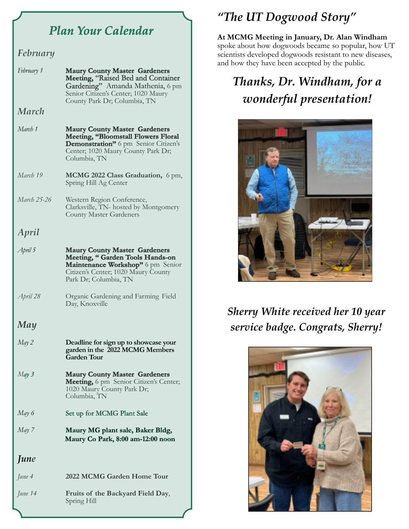## *Plan Your Calendar*

#### *February*

| February 1  | <b>Maury County Master Gardeners</b><br>Meeting, "Raised Bed and Container<br>Gardening" Amanda Mathenia, 6 pm<br>Senior Citizen's Center; 1020 Maury<br>County Park Dr; Columbia, TN |
|-------------|---------------------------------------------------------------------------------------------------------------------------------------------------------------------------------------|
| March       |                                                                                                                                                                                       |
| March 1     | <b>Maury County Master Gardeners</b><br><b>Meeting, "Bloomstall Flowers Floral</b><br>Demonstration" 6 pm Senior Citizen's<br>Center; 1020 Maury County Park Dr;<br>Columbia, TN      |
| March 19    | MCMG 2022 Class Graduation, 6 pm,<br>Spring Hill Ag Center                                                                                                                            |
| March 25-26 | Western Region Conference,<br>Clarksville, TN- hosted by Montgomery<br><b>County Master Gardeners</b>                                                                                 |
| April       |                                                                                                                                                                                       |
| April 5     | <b>Maury County Master Gardeners</b><br>Meeting, "Garden Tools Hands-on<br>Maintenance Workshop" 6 pm Senior<br>Citizen's Center; 1020 Maury County<br>Park Dr; Columbia, TN          |
| April 28    | Organic Gardening and Farming Field<br>Day, Knoxville                                                                                                                                 |
| May         |                                                                                                                                                                                       |
| May 2       | Deadline for sign up to showcase your<br>garden in the 2022 MCMG Members<br><b>Garden Tour</b>                                                                                        |
| May 3       | <b>Maury County Master Gardeners</b><br>Meeting, 6 pm Senior Citizen's Center;<br>1020 Maury County Park Dr;<br>Columbia, TN                                                          |
| May 6       | Set up for MCMG Plant Sale                                                                                                                                                            |
| May 7       | Maury MG plant sale, Baker Bldg,<br>Maury Co Park, 8:00 am-12:00 noon                                                                                                                 |
| June        |                                                                                                                                                                                       |
| June 4      | 2022 MCMG Garden Home Tour                                                                                                                                                            |
| June 14     | Fruits of the Backyard Field Day,<br>Spring Hill                                                                                                                                      |

# *"The UT Dogwood Story"*

**At MCMG Meeting in January, Dr. Alan Windham** spoke about how dogwoods became so popular, how UT scientists developed dogwoods resistant to new diseases, and how they have been accepted by the public.

# *Thanks, Dr. Windham, for a wonderful presentation!*



## *Sherry White received her 10 year service badge. Congrats, Sherry!*